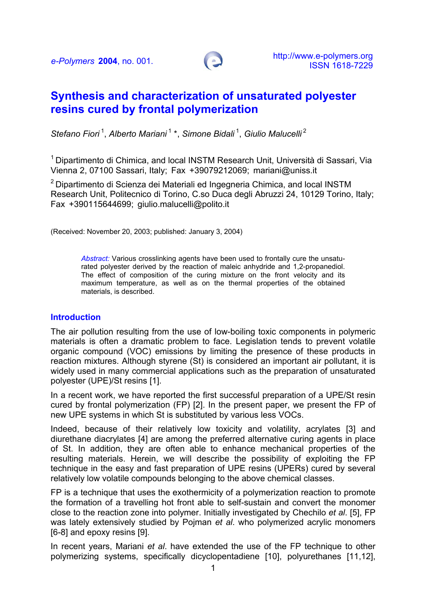

# **Synthesis and characterization of unsaturated polyester resins cured by frontal polymerization**

*Stefano Fiori* 1, *Alberto Mariani* 1 \*, *Simone Bidali* 1, *Giulio Malucelli*<sup>2</sup>

<sup>1</sup> Dipartimento di Chimica, and local INSTM Research Unit, Università di Sassari, Via Vienna 2, 07100 Sassari, Italy; Fax +39079212069; mariani@uniss.it

 $2$  Dipartimento di Scienza dei Materiali ed Ingegneria Chimica, and local INSTM Research Unit, Politecnico di Torino, C.so Duca degli Abruzzi 24, 10129 Torino, Italy; Fax +390115644699; giulio.malucelli@polito.it

(Received: November 20, 2003; published: January 3, 2004)

*Abstract:* Various crosslinking agents have been used to frontally cure the unsaturated polyester derived by the reaction of maleic anhydride and 1,2-propanediol. The effect of composition of the curing mixture on the front velocity and its maximum temperature, as well as on the thermal properties of the obtained materials, is described.

#### **Introduction**

The air pollution resulting from the use of low-boiling toxic components in polymeric materials is often a dramatic problem to face. Legislation tends to prevent volatile organic compound (VOC) emissions by limiting the presence of these products in reaction mixtures. Although styrene (St) is considered an important air pollutant, it is widely used in many commercial applications such as the preparation of unsaturated polyester (UPE)/St resins [1].

In a recent work, we have reported the first successful preparation of a UPE/St resin cured by frontal polymerization (FP) [2]. In the present paper, we present the FP of new UPE systems in which St is substituted by various less VOCs.

Indeed, because of their relatively low toxicity and volatility, acrylates [3] and diurethane diacrylates [4] are among the preferred alternative curing agents in place of St. In addition, they are often able to enhance mechanical properties of the resulting materials. Herein, we will describe the possibility of exploiting the FP technique in the easy and fast preparation of UPE resins (UPERs) cured by several relatively low volatile compounds belonging to the above chemical classes.

FP is a technique that uses the exothermicity of a polymerization reaction to promote the formation of a travelling hot front able to self-sustain and convert the monomer close to the reaction zone into polymer. Initially investigated by Chechilo *et al*. [5], FP was lately extensively studied by Pojman *et al*. who polymerized acrylic monomers [6-8] and epoxy resins [9].

In recent years, Mariani *et al*. have extended the use of the FP technique to other polymerizing systems, specifically dicyclopentadiene [10], polyurethanes [11,12],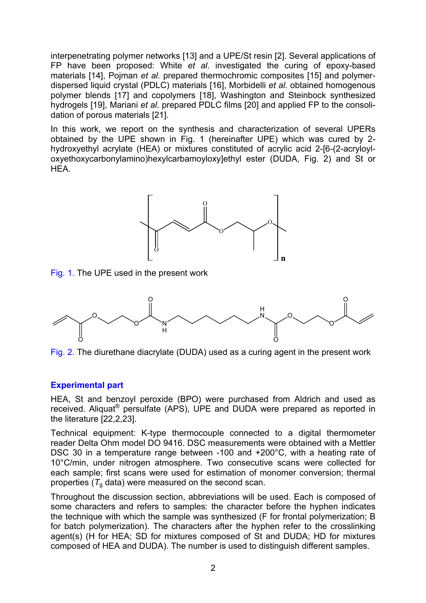interpenetrating polymer networks [13] and a UPE/St resin [2]. Several applications of FP have been proposed: White *et al*. investigated the curing of epoxy-based materials [14], Pojman *et al*. prepared thermochromic composites [15] and polymerdispersed liquid crystal (PDLC) materials [16], Morbidelli *et al*. obtained homogenous polymer blends [17] and copolymers [18], Washington and Steinbock synthesized hydrogels [19], Mariani *et al*. prepared PDLC films [20] and applied FP to the consolidation of porous materials [21].

In this work, we report on the synthesis and characterization of several UPERs obtained by the UPE shown in Fig. 1 (hereinafter UPE) which was cured by 2 hydroxyethyl acrylate (HEA) or mixtures constituted of acrylic acid 2-16-(2-acrylovloxyethoxycarbonylamino)hexylcarbamoyloxy]ethyl ester (DUDA, Fig. 2) and St or HEA.



Fig. 1. The UPE used in the present work



Fig. 2. The diurethane diacrylate (DUDA) used as a curing agent in the present work

## **Experimental part**

HEA, St and benzoyl peroxide (BPO) were purchased from Aldrich and used as received. Aliquat® persulfate (APS), UPE and DUDA were prepared as reported in the literature [22,2,23].

Technical equipment: K-type thermocouple connected to a digital thermometer reader Delta Ohm model DO 9416. DSC measurements were obtained with a Mettler DSC 30 in a temperature range between -100 and +200°C, with a heating rate of 10°C/min, under nitrogen atmosphere. Two consecutive scans were collected for each sample; first scans were used for estimation of monomer conversion; thermal properties  $(T<sub>g</sub>$  data) were measured on the second scan.

Throughout the discussion section, abbreviations will be used. Each is composed of some characters and refers to samples: the character before the hyphen indicates the technique with which the sample was synthesized (F for frontal polymerization; B for batch polymerization). The characters after the hyphen refer to the crosslinking agent(s) (H for HEA; SD for mixtures composed of St and DUDA; HD for mixtures composed of HEA and DUDA). The number is used to distinguish different samples.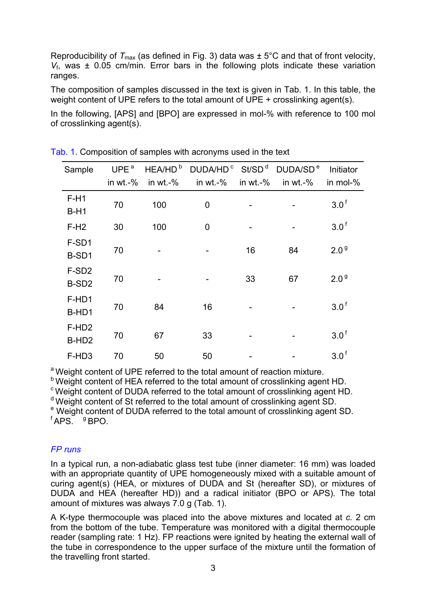Reproducibility of  $T_{\text{max}}$  (as defined in Fig. 3) data was  $\pm$  5°C and that of front velocity, *V*f, was ± 0.05 cm/min. Error bars in the following plots indicate these variation ranges.

The composition of samples discussed in the text is given in Tab. 1. In this table, the weight content of UPE refers to the total amount of UPE + crosslinking agent(s).

In the following, [APS] and [BPO] are expressed in mol-% with reference to 100 mol of crosslinking agent(s).

| Sample                                 | UPE <sup>a</sup> | HEA/HD <sup>b</sup> | DUDA/HD <sup>c</sup> St/SD <sup>d</sup> |            | DUDA/SD <sup>e</sup> | Initiator        |
|----------------------------------------|------------------|---------------------|-----------------------------------------|------------|----------------------|------------------|
|                                        | in $wt.-\%$      | in $wt.-%$          | in $wt.-%$                              | in $wt.-%$ | in $wt.-%$           | in mol- $%$      |
| $F-H1$<br>$B-H1$                       | 70               | 100                 | 0                                       |            |                      | 3.0 <sup>f</sup> |
| $F-H2$                                 | 30               | 100                 | $\mathbf 0$                             |            |                      | 3.0 <sup>1</sup> |
| F-SD1<br>B-SD1                         | 70               |                     |                                         | 16         | 84                   | 2.0 <sup>9</sup> |
| F-SD <sub>2</sub><br>B-SD <sub>2</sub> | 70               |                     |                                         | 33         | 67                   | 2.0 <sup>9</sup> |
| F-HD1<br>B-HD1                         | 70               | 84                  | 16                                      |            |                      | 3.0 <sup>f</sup> |
| F-HD <sub>2</sub><br>B-HD <sub>2</sub> | 70               | 67                  | 33                                      |            |                      | 3.0 <sup>f</sup> |
| F-HD <sub>3</sub>                      | 70               | 50                  | 50                                      |            |                      | 3.0 <sup>1</sup> |

Tab. 1. Composition of samples with acronyms used in the text

<sup>a</sup> Weight content of UPE referred to the total amount of reaction mixture.<br><sup>b</sup> Weight content of HEA referred to the total amount of crosslinking agent HD. <sup>c</sup> Weight content of DUDA referred to the total amount of crosslinking agent HD.

 $d$  Weight content of St referred to the total amount of crosslinking agent SD.

<sup>e</sup> Weight content of DUDA referred to the total amount of crosslinking agent SD.  $f$  APS.  $g$  BPO.

## *FP runs*

In a typical run, a non-adiabatic glass test tube (inner diameter: 16 mm) was loaded with an appropriate quantity of UPE homogeneously mixed with a suitable amount of curing agent(s) (HEA, or mixtures of DUDA and St (hereafter SD), or mixtures of DUDA and HEA (hereafter HD)) and a radical initiator (BPO or APS). The total amount of mixtures was always 7.0 g (Tab. 1).

A K-type thermocouple was placed into the above mixtures and located at *c.* 2 cm from the bottom of the tube. Temperature was monitored with a digital thermocouple reader (sampling rate: 1 Hz). FP reactions were ignited by heating the external wall of the tube in correspondence to the upper surface of the mixture until the formation of the travelling front started.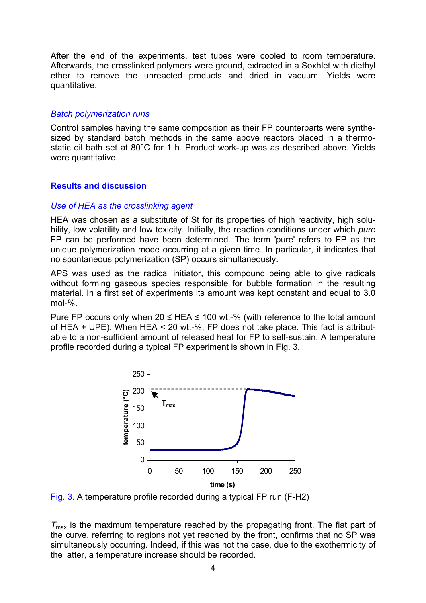After the end of the experiments, test tubes were cooled to room temperature. Afterwards, the crosslinked polymers were ground, extracted in a Soxhlet with diethyl ether to remove the unreacted products and dried in vacuum. Yields were quantitative.

#### *Batch polymerization runs*

Control samples having the same composition as their FP counterparts were synthesized by standard batch methods in the same above reactors placed in a thermostatic oil bath set at 80°C for 1 h. Product work-up was as described above. Yields were quantitative.

### **Results and discussion**

### *Use of HEA as the crosslinking agent*

HEA was chosen as a substitute of St for its properties of high reactivity, high solubility, low volatility and low toxicity. Initially, the reaction conditions under which *pure* FP can be performed have been determined. The term 'pure' refers to FP as the unique polymerization mode occurring at a given time. In particular, it indicates that no spontaneous polymerization (SP) occurs simultaneously.

APS was used as the radical initiator, this compound being able to give radicals without forming gaseous species responsible for bubble formation in the resulting material. In a first set of experiments its amount was kept constant and equal to 3.0 mol-%.

Pure FP occurs only when  $20 \leq HEA \leq 100$  wt.-% (with reference to the total amount of HEA + UPE). When HEA < 20 wt.-%, FP does not take place. This fact is attributable to a non-sufficient amount of released heat for FP to self-sustain. A temperature profile recorded during a typical FP experiment is shown in Fig. 3.



Fig. 3. A temperature profile recorded during a typical FP run (F-H2)

*T*max is the maximum temperature reached by the propagating front. The flat part of the curve, referring to regions not yet reached by the front, confirms that no SP was simultaneously occurring. Indeed, if this was not the case, due to the exothermicity of the latter, a temperature increase should be recorded.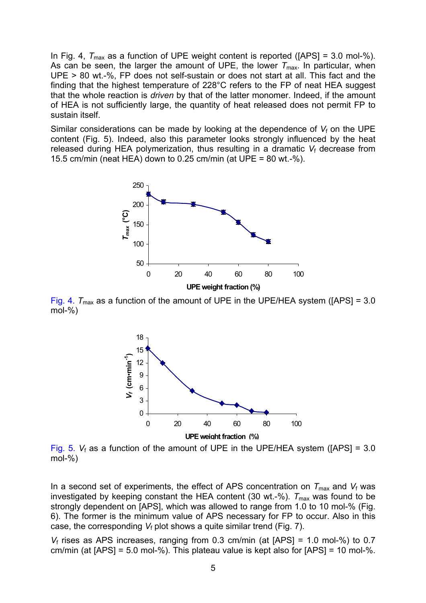In Fig. 4,  $T_{\text{max}}$  as a function of UPE weight content is reported ([APS] = 3.0 mol-%). As can be seen, the larger the amount of UPE, the lower  $T_{\text{max}}$ . In particular, when UPE > 80 wt.-%, FP does not self-sustain or does not start at all. This fact and the finding that the highest temperature of 228°C refers to the FP of neat HEA suggest that the whole reaction is *driven* by that of the latter monomer. Indeed, if the amount of HEA is not sufficiently large, the quantity of heat released does not permit FP to sustain itself.

Similar considerations can be made by looking at the dependence of  $V_f$  on the UPE content (Fig. 5). Indeed, also this parameter looks strongly influenced by the heat released during HEA polymerization, thus resulting in a dramatic  $V_f$  decrease from 15.5 cm/min (neat HEA) down to 0.25 cm/min (at UPE = 80 wt.-%).



Fig. 4.  $T_{\text{max}}$  as a function of the amount of UPE in the UPE/HEA system ([APS] = 3.0 mol-%)



Fig. 5.  $V_f$  as a function of the amount of UPE in the UPE/HEA system ( $[APS] = 3.0$ mol-%)

In a second set of experiments, the effect of APS concentration on  $T_{\text{max}}$  and  $V_f$  was investigated by keeping constant the HEA content (30 wt.-%).  $T_{\text{max}}$  was found to be strongly dependent on [APS], which was allowed to range from 1.0 to 10 mol-% (Fig. 6). The former is the minimum value of APS necessary for FP to occur. Also in this case, the corresponding  $V_f$  plot shows a quite similar trend (Fig. 7).

*V*f rises as APS increases, ranging from 0.3 cm/min (at [APS] = 1.0 mol-%) to 0.7 cm/min (at [APS] = 5.0 mol-%). This plateau value is kept also for [APS] = 10 mol-%.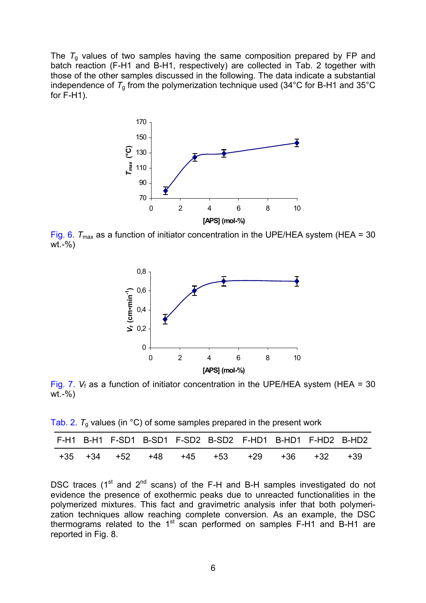The *T*<sup>g</sup> values of two samples having the same composition prepared by FP and batch reaction (F-H1 and B-H1, respectively) are collected in Tab. 2 together with those of the other samples discussed in the following. The data indicate a substantial independence of  $T_q$  from the polymerization technique used (34 $^{\circ}$ C for B-H1 and 35 $^{\circ}$ C for F-H1).



Fig. 6.  $T_{\text{max}}$  as a function of initiator concentration in the UPE/HEA system (HEA = 30 wt.-%)



Fig. 7.  $V_f$  as a function of initiator concentration in the UPE/HEA system (HEA = 30 wt.-%)

Tab. 2.  $T_q$  values (in  $°C$ ) of some samples prepared in the present work

|  |  |  | F-H1 B-H1 F-SD1 B-SD1 F-SD2 B-SD2 F-HD1 B-HD1 F-HD2 B-HD2 |  |  |
|--|--|--|-----------------------------------------------------------|--|--|
|  |  |  | +35 +34 +52 +48 +45 +53 +29 +36 +32 +39                   |  |  |

DSC traces ( $1<sup>st</sup>$  and  $2<sup>nd</sup>$  scans) of the F-H and B-H samples investigated do not evidence the presence of exothermic peaks due to unreacted functionalities in the polymerized mixtures. This fact and gravimetric analysis infer that both polymerization techniques allow reaching complete conversion. As an example, the DSC thermograms related to the  $1<sup>st</sup>$  scan performed on samples F-H1 and B-H1 are reported in Fig. 8.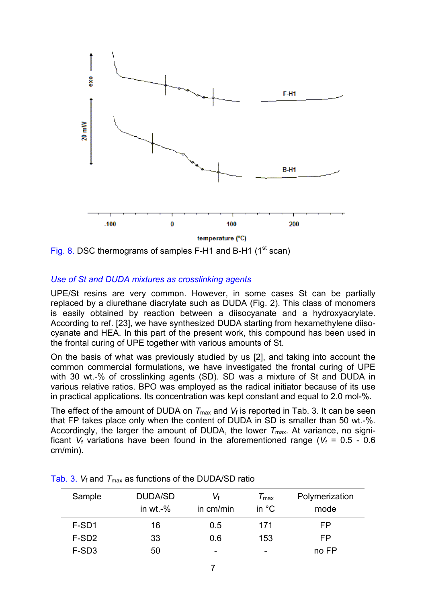



## *Use of St and DUDA mixtures as crosslinking agents*

UPE/St resins are very common. However, in some cases St can be partially replaced by a diurethane diacrylate such as DUDA (Fig. 2). This class of monomers is easily obtained by reaction between a diisocyanate and a hydroxyacrylate. According to ref. [23], we have synthesized DUDA starting from hexamethylene diisocyanate and HEA. In this part of the present work, this compound has been used in the frontal curing of UPE together with various amounts of St.

On the basis of what was previously studied by us [2], and taking into account the common commercial formulations, we have investigated the frontal curing of UPE with 30 wt.-% of crosslinking agents (SD). SD was a mixture of St and DUDA in various relative ratios. BPO was employed as the radical initiator because of its use in practical applications. Its concentration was kept constant and equal to 2.0 mol-%.

The effect of the amount of DUDA on  $T_{\text{max}}$  and  $V_f$  is reported in Tab. 3. It can be seen that FP takes place only when the content of DUDA in SD is smaller than 50 wt.-%. Accordingly, the larger the amount of DUDA, the lower  $T_{\text{max}}$ . At variance, no significant  $V_f$  variations have been found in the aforementioned range ( $V_f$  = 0.5 - 0.6 cm/min).

| Sample            | <b>DUDA/SD</b><br>in wt.- $%$ | Vf<br>in cm/min | $\mathbf{I}_{\text{max}}$<br>in $^{\circ}$ C | Polymerization<br>mode |
|-------------------|-------------------------------|-----------------|----------------------------------------------|------------------------|
| F-SD1             | 16                            | 0.5             | 171                                          | FP                     |
| F-SD <sub>2</sub> | 33                            | 0.6             | 153                                          | FP                     |
| F-SD <sub>3</sub> | 50                            | -               | $\overline{\phantom{0}}$                     | no $FP$                |

Tab. 3.  $V_f$  and  $T_{\text{max}}$  as functions of the DUDA/SD ratio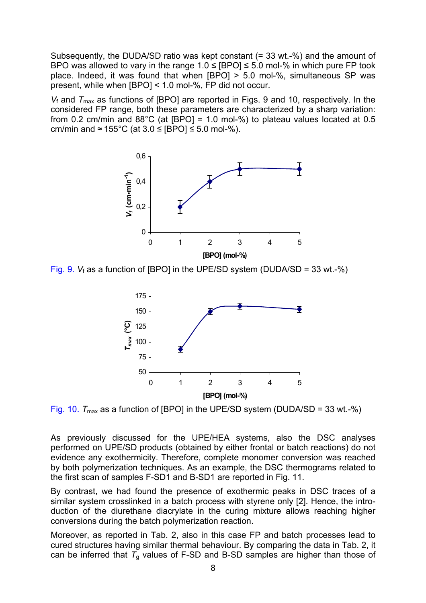Subsequently, the DUDA/SD ratio was kept constant (= 33 wt.-%) and the amount of BPO was allowed to vary in the range  $1.0 \leq$  [BPO]  $\leq$  5.0 mol-% in which pure FP took place. Indeed, it was found that when [BPO] > 5.0 mol-%, simultaneous SP was present, while when [BPO] < 1.0 mol-%, FP did not occur.

*V*f and *T*max as functions of [BPO] are reported in Figs. 9 and 10, respectively. In the considered FP range, both these parameters are characterized by a sharp variation: from 0.2 cm/min and  $88^{\circ}$ C (at [BPO] = 1.0 mol-%) to plateau values located at 0.5 cm/min and  $\approx 155^{\circ}$ C (at  $3.0 \leq$  [BPO]  $\leq 5.0$  mol-%).



Fig. 9. *V*f as a function of [BPO] in the UPE/SD system (DUDA/SD = 33 wt.-%)



Fig. 10.  $T_{\text{max}}$  as a function of [BPO] in the UPE/SD system (DUDA/SD = 33 wt.-%)

As previously discussed for the UPE/HEA systems, also the DSC analyses performed on UPE/SD products (obtained by either frontal or batch reactions) do not evidence any exothermicity. Therefore, complete monomer conversion was reached by both polymerization techniques. As an example, the DSC thermograms related to the first scan of samples F-SD1 and B-SD1 are reported in Fig. 11.

By contrast, we had found the presence of exothermic peaks in DSC traces of a similar system crosslinked in a batch process with styrene only [2]. Hence, the introduction of the diurethane diacrylate in the curing mixture allows reaching higher conversions during the batch polymerization reaction.

Moreover, as reported in Tab. 2, also in this case FP and batch processes lead to cured structures having similar thermal behaviour. By comparing the data in Tab. 2, it can be inferred that  $T_q$  values of F-SD and B-SD samples are higher than those of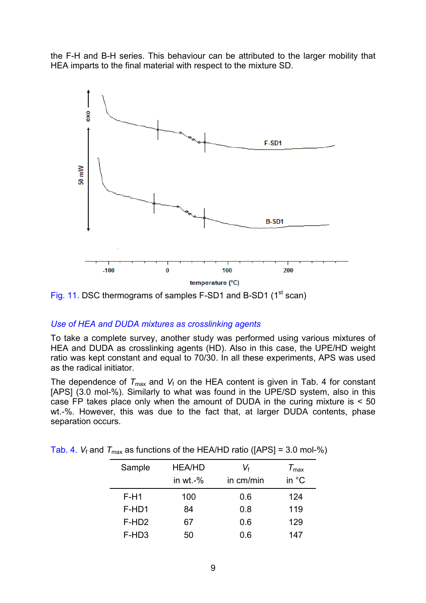the F-H and B-H series. This behaviour can be attributed to the larger mobility that HEA imparts to the final material with respect to the mixture SD.



Fig. 11. DSC thermograms of samples F-SD1 and B-SD1 (1<sup>st</sup> scan)

## *Use of HEA and DUDA mixtures as crosslinking agents*

To take a complete survey, another study was performed using various mixtures of HEA and DUDA as crosslinking agents (HD). Also in this case, the UPE/HD weight ratio was kept constant and equal to 70/30. In all these experiments, APS was used as the radical initiator.

The dependence of  $T_{\text{max}}$  and  $V_f$  on the HEA content is given in Tab. 4 for constant [APS] (3.0 mol-%). Similarly to what was found in the UPE/SD system, also in this case FP takes place only when the amount of DUDA in the curing mixture is < 50 wt.-%. However, this was due to the fact that, at larger DUDA contents, phase separation occurs.

| Sample            | <b>HEA/HD</b><br>in $wt.-%$ | Vf<br>in cm/min | $T_{\rm max}$<br>in $^{\circ}$ C |
|-------------------|-----------------------------|-----------------|----------------------------------|
| $F-H1$            | 100                         | 0.6             | 124                              |
| F-HD1             | 84                          | 0.8             | 119                              |
| F-HD <sub>2</sub> | 67                          | 0.6             | 129                              |
| F-HD <sub>3</sub> | 50                          |                 | 147                              |

Tab. 4.  $V_f$  and  $T_{\text{max}}$  as functions of the HEA/HD ratio ( $[APS] = 3.0$  mol-%)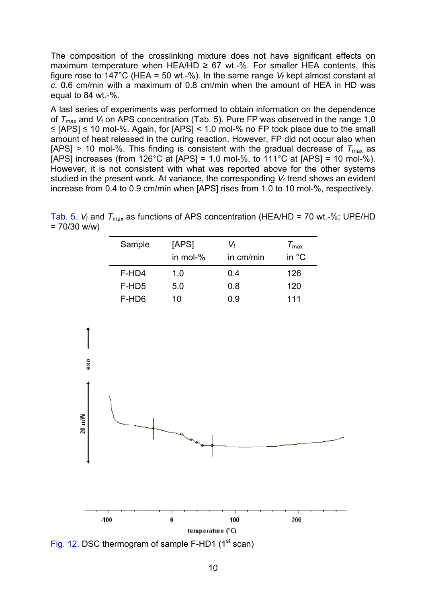The composition of the crosslinking mixture does not have significant effects on maximum temperature when HEA/HD  $\geq$  67 wt.-%. For smaller HEA contents, this figure rose to 147°C (HEA = 50 wt.-%). In the same range  $V_f$  kept almost constant at *c.* 0.6 cm/min with a maximum of 0.8 cm/min when the amount of HEA in HD was equal to 84 wt.-%.

A last series of experiments was performed to obtain information on the dependence of  $T_{\text{max}}$  and  $V_f$  on APS concentration (Tab. 5). Pure FP was observed in the range 1.0 ≤ [APS] ≤ 10 mol-%. Again, for [APS] < 1.0 mol-% no FP took place due to the small amount of heat released in the curing reaction. However, FP did not occur also when  $[APS] > 10$  mol-%. This finding is consistent with the gradual decrease of  $T_{\text{max}}$  as [APS] increases (from 126°C at [APS] = 1.0 mol-%, to  $111^{\circ}$ C at [APS] = 10 mol-%). However, it is not consistent with what was reported above for the other systems studied in the present work. At variance, the corresponding V<sub>f</sub> trend shows an evident increase from 0.4 to 0.9 cm/min when [APS] rises from 1.0 to 10 mol-%, respectively.

Sample [APS] in mol-% *V*f in cm/min *T*max in °C F-HD4 1.0 0.4 126 F-HD5 5.0 0.8 120 F-HD6 10 0.9 111

Tab. 5.  $V_f$  and  $T_{\text{max}}$  as functions of APS concentration (HEA/HD = 70 wt.-%; UPE/HD

= 70/30 w/w)



Fig. 12. DSC thermogram of sample  $F-HD1$  (1<sup>st</sup> scan)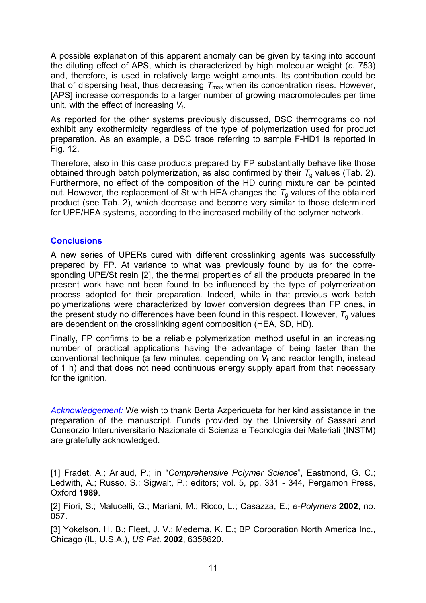A possible explanation of this apparent anomaly can be given by taking into account the diluting effect of APS, which is characterized by high molecular weight (*c.* 753) and, therefore, is used in relatively large weight amounts. Its contribution could be that of dispersing heat, thus decreasing  $T_{\text{max}}$  when its concentration rises. However, [APS] increase corresponds to a larger number of growing macromolecules per time unit, with the effect of increasing *V*f.

As reported for the other systems previously discussed, DSC thermograms do not exhibit any exothermicity regardless of the type of polymerization used for product preparation. As an example, a DSC trace referring to sample F-HD1 is reported in Fig. 12.

Therefore, also in this case products prepared by FP substantially behave like those obtained through batch polymerization, as also confirmed by their  $T<sub>g</sub>$  values (Tab. 2). Furthermore, no effect of the composition of the HD curing mixture can be pointed out. However, the replacement of St with HEA changes the  $T_q$  values of the obtained product (see Tab. 2), which decrease and become very similar to those determined for UPE/HEA systems, according to the increased mobility of the polymer network.

## **Conclusions**

A new series of UPERs cured with different crosslinking agents was successfully prepared by FP. At variance to what was previously found by us for the corresponding UPE/St resin [2], the thermal properties of all the products prepared in the present work have not been found to be influenced by the type of polymerization process adopted for their preparation. Indeed, while in that previous work batch polymerizations were characterized by lower conversion degrees than FP ones, in the present study no differences have been found in this respect. However,  $T<sub>q</sub>$  values are dependent on the crosslinking agent composition (HEA, SD, HD).

Finally, FP confirms to be a reliable polymerization method useful in an increasing number of practical applications having the advantage of being faster than the conventional technique (a few minutes, depending on  $V_f$  and reactor length, instead of 1 h) and that does not need continuous energy supply apart from that necessary for the ignition.

*Acknowledgement:* We wish to thank Berta Azpericueta for her kind assistance in the preparation of the manuscript. Funds provided by the University of Sassari and Consorzio Interuniversitario Nazionale di Scienza e Tecnologia dei Materiali (INSTM) are gratefully acknowledged.

[1] Fradet, A.; Arlaud, P.; in "*Comprehensive Polymer Science*", Eastmond, G. C.; Ledwith, A.; Russo, S.; Sigwalt, P.; editors; vol. 5, pp. 331 - 344, Pergamon Press, Oxford **1989**.

[2] Fiori, S.; Malucelli, G.; Mariani, M.; Ricco, L.; Casazza, E.; *e-Polymers* **2002**, no. 057.

[3] Yokelson, H. B.; Fleet, J. V.; Medema, K. E.; BP Corporation North America Inc., Chicago (IL, U.S.A.), *US Pat.* **2002**, 6358620.